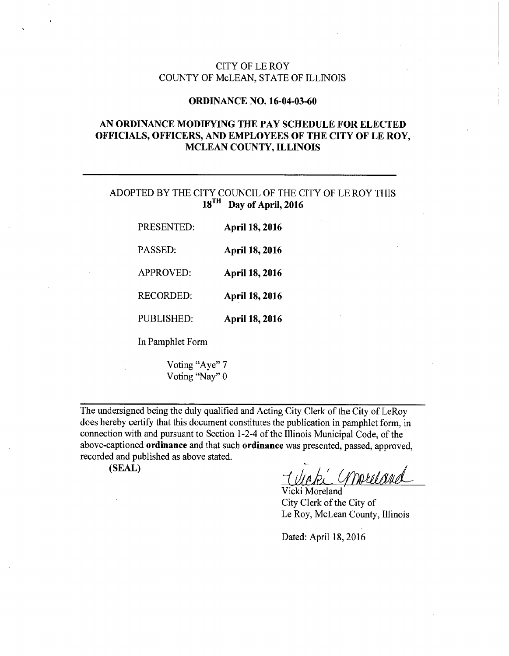### CITY OF LE ROY COUNTY OF McLEAN, STATE OF ILLINOIS

#### ORDINANCE NO. 16-04-03-60

# AN ORDINANCE MODIFYING THE PAY SCHEDULE FOR ELECTED OFFICIALS, OFFICERS, AND EMPLOYEES OF THE CITY OF LE ROY, MCLEAN COUNTY, ILLINOIS

# ADOPTED BY THE CITY COUNCIL OF THE CITY OF LE ROY THIS 18<sup>TH</sup> Day of April, 2016

| PRESENTED:       | <b>April 18, 2016</b> |
|------------------|-----------------------|
| PASSED:          | <b>April 18, 2016</b> |
| <b>APPROVED:</b> | <b>April 18, 2016</b> |
| <b>RECORDED:</b> | <b>April 18, 2016</b> |
| PUBLISHED:       | <b>April 18, 2016</b> |
| In Pamphlet Form |                       |

Voting "Aye" 7 Voting "Nay" 0

The undersigned being the duly qualified and Acting City Clerk of the City of LeRoy does hereby certify that this document constitutes the publication in pamphlet form, in connection with and pursuant to Section 1-2-4 of the Illinois Municipal Code, of the above-captioned ordinance and that such ordinance was presented, passed, approved, recorded and published as above stated.

(SEAL)

~ moreland ell 1

Vicki Moreland City Clerk of the City of Le Roy, McLean County, Illinois

Dated: April 18, 2016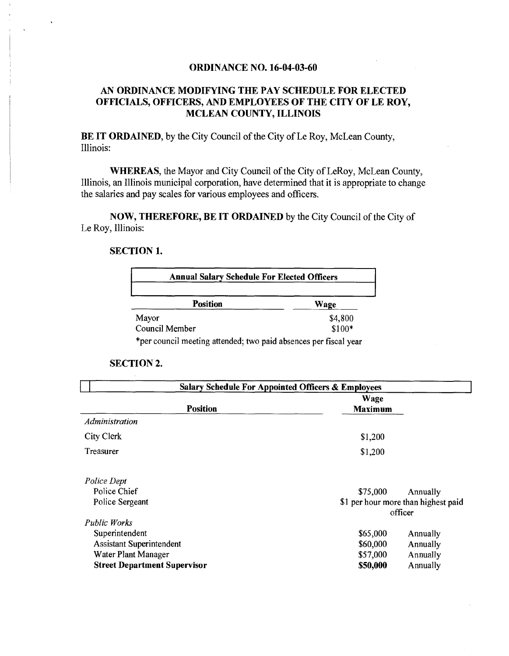### ORDINANCE NO. 16-04-03-60

### AN ORDINANCE MODIFYING THE PAY SCHEDULE FOR ELECTED OFFICIALS, OFFICERS, AND EMPLOYEES OF THE CITY OF LE ROY, MCLEAN COUNTY, ILLINOIS

BE IT ORDAINED, by the City Council of the City of Le Roy, McLean County, Illinois:

WHEREAS, the Mayor and City Council of the City of LeRoy, McLean County, Illinois, an Illinois municipal corporation, have determined that it is appropriate to change the salaries and pay scales for various employees and officers.

NOW, THEREFORE, BE IT ORDAINED by the City Council of the City of Le Roy, Illinois:

### SECTION 1.

| <b>Annual Salary Schedule For Elected Officers</b>               |         |  |
|------------------------------------------------------------------|---------|--|
| <b>Position</b>                                                  | Wage    |  |
| Mayor                                                            | \$4,800 |  |
| Council Member                                                   | $$100*$ |  |
| *per council meeting attended; two paid absences per fiscal year |         |  |

#### SECTION 2.

| <b>Salary Schedule For Appointed Officers &amp; Employees</b> |                               |                                     |  |
|---------------------------------------------------------------|-------------------------------|-------------------------------------|--|
| <b>Position</b>                                               | <b>Wage</b><br><b>Maximum</b> |                                     |  |
| <i>Administration</i>                                         |                               |                                     |  |
| City Clerk                                                    | \$1,200                       |                                     |  |
| Treasurer                                                     | \$1,200                       |                                     |  |
| Police Dept                                                   |                               |                                     |  |
| Police Chief                                                  | \$75,000                      | Annually                            |  |
| Police Sergeant                                               |                               | \$1 per hour more than highest paid |  |
|                                                               |                               | officer                             |  |
| <b>Public Works</b>                                           |                               |                                     |  |
| Superintendent                                                | \$65,000                      | Annually                            |  |
| <b>Assistant Superintendent</b>                               | \$60,000                      | Annually                            |  |
| Water Plant Manager                                           | \$57,000                      | Annually                            |  |
| <b>Street Department Supervisor</b>                           | \$50,000                      | Annually                            |  |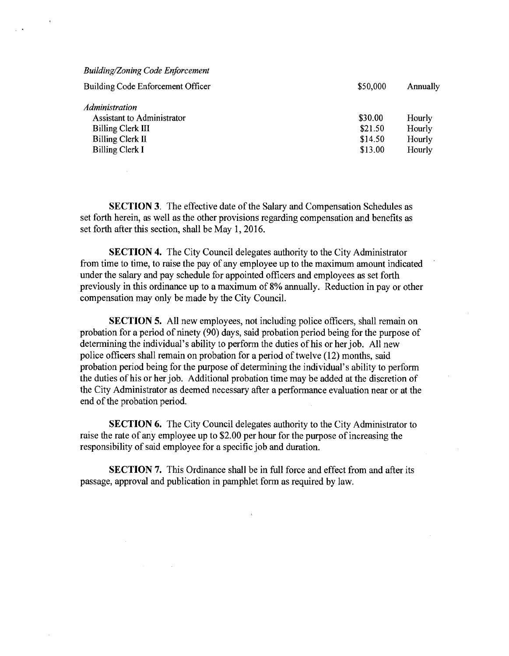| <b>Building/Zoning Code Enforcement</b> |          |          |
|-----------------------------------------|----------|----------|
| Building Code Enforcement Officer       | \$50,000 | Annually |
| <i>Administration</i>                   |          |          |
| <b>Assistant to Administrator</b>       | \$30.00  | Hourly   |
| Billing Clerk III                       | \$21.50  | Hourly   |
| <b>Billing Clerk II</b>                 | \$14.50  | Hourly   |
| <b>Billing Clerk I</b>                  | \$13.00  | Hourly   |
|                                         |          |          |

SECTION 3. The effective date of the Salary and Compensation Schedules as set forth herein, as well as the other provisions regarding compensation and benefits as set forth after this section, shall be May 1, 2016.

SECTION 4. The City Council delegates authority to the City Administrator from time to time, to raise the pay of any employee up to the maximum amount indicated under the salary and pay schedule for appointed officers and employees as set forth previously in this ordinance up to a maximum of 8% annually. Reduction in pay or other compensation may only be made by the City Council.

SECTION 5. All new employees, not including police officers, shall remain on probation for a period of ninety (90) days, said probation period being for the purpose of determining the individual's ability to perform the duties of his or her job. All new police officers shall remain on probation for a period of twelve (12) months, said probation period being for the purpose of determining the individual's ability to perform the duties of his or her job. Additional probation time may be added at the discretion of the City Administrator as deemed necessary after a performance evaluation near or at the end of the probation period.

SECTION 6. The City Council delegates authority to the City Administrator to raise the rate of any employee up to \$2.00 per hour for the purpose of increasing the responsibility of said employee for a specific job and duration.

SECTION 7. This Ordinance shall be in full force and effect from and after its passage, approval and publication in pamphlet form as required by law.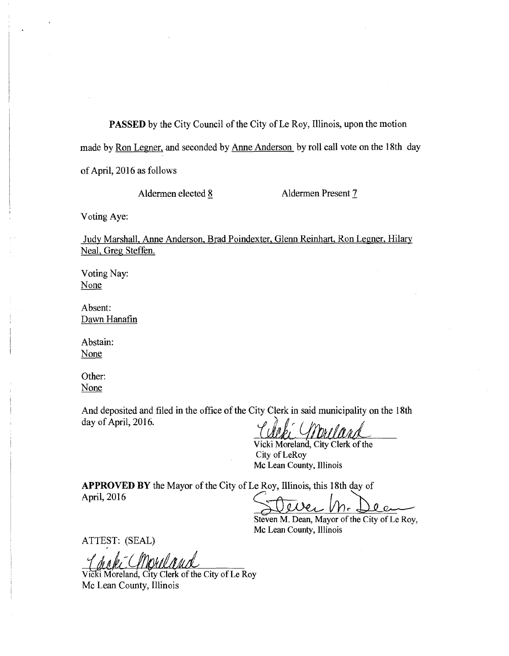PASSED by the City Council of the City of Le Roy, Illinois, upon the motion made by Ron Legner, and seconded by Anne Anderson by roll call vote on the 18th day of April, 2016 as follows

Aldermen elected 8 Aldermen Present 7

Voting Aye:

Judy Marshall, Anne Anderson, Brad Poindexter, Glenn Reinhart, Ron Legner, Hilary Neal, Greg Steffen.

Voting Nay: None

Absent: Dawn Hanafin

Abstain: None

Other: None

And deposited and filed in the office of the City Clerk in said municipality on the 18th day of April, 2016.

Celebra Gibrell

Vicki Moreland, City Clerk of the City of LeRoy Mc Lean County, Illinois

APPROVED BY the Mayor of the City of Le Roy, Illinois, this 18th day of April, 2016

Steven M. Dea

Steven M. Dean, Mayor of the City of Le Roy, Mc Lean County, Illinois

ATTEST: (SEAL)

Vicki Moreland, City Clerk of the City of Le Roy Mc Lean County, Illinois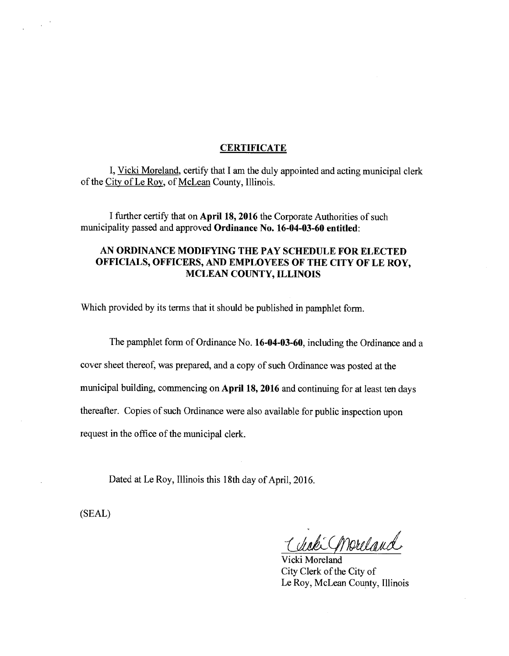#### **CERTIFICATE**

I, Vicki Moreland, certify that I am the duly appointed and acting municipal clerk of the City of Le Roy, of McLean County, Illinois.

I further certify that on April 18, 2016 the Corporate Authorities of such municipality passed and approved Ordinance No. 16-04-03-60 entitled:

### AN ORDINANCE MODIFYING THE PAY SCHEDULE FOR ELECTED OFFICIALS, OFFICERS, AND EMPLOYEES OF THE CITY OF LE ROY, MCLEAN COUNTY, ILLINOIS

Which provided by its terms that it should be published in pamphlet form.

The pamphlet form of Ordinance No. 16-04-03-60, including the Ordinance and a

cover sheet thereof, was prepared, and a copy of such Ordinance was posted at the

municipal building, commencing on April 18, 2016 and continuing for at least ten days

thereafter. Copies of such Ordinance were also available for public inspection upon

request in the office of the municipal clerk.

Dated at Le Roy, Illinois this 18th day of April, 2016.

(SEAL)

Ick Convictand

Vicki Moreland City Clerk of the City of Le Roy, McLean County, Illinois